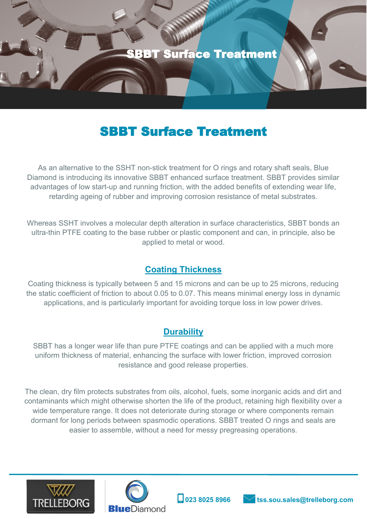

## SBBT Surface Treatment

As an alternative to the SSHT non-stick treatment for O rings and rotary shaft seals, Blue Diamond is introducing its innovative SBBT enhanced surface treatment. SBBT provides similar advantages of low start-up and running friction, with the added benefits of extending wear life, retarding ageing of rubber and improving corrosion resistance of metal substrates.

Whereas SSHT involves a molecular depth alteration in surface characteristics, SBBT bonds an ultra-thin PTFE coating to the base rubber or plastic component and can, in principle, also be applied to metal or wood.

### **Coating Thickness**

Coating thickness is typically between 5 and 15 microns and can be up to 25 microns, reducing the static coefficient of friction to about 0.05 to 0.07. This means minimal energy loss in dynamic applications, and is particularly important for avoiding torque loss in low power drives.

### **Durability**

SBBT has a longer wear life than pure PTFE coatings and can be applied with a much more uniform thickness of material, enhancing the surface with lower friction, improved corrosion resistance and good release properties.

The clean, dry film protects substrates from oils, alcohol, fuels, some inorganic acids and dirt and contaminants which might otherwise shorten the life of the product, retaining high flexibility over a wide temperature range. It does not deteriorate during storage or where components remain dormant for long periods between spasmodic operations. SBBT treated O rings and seals are easier to assemble, without a need for messy pregreasing operations.